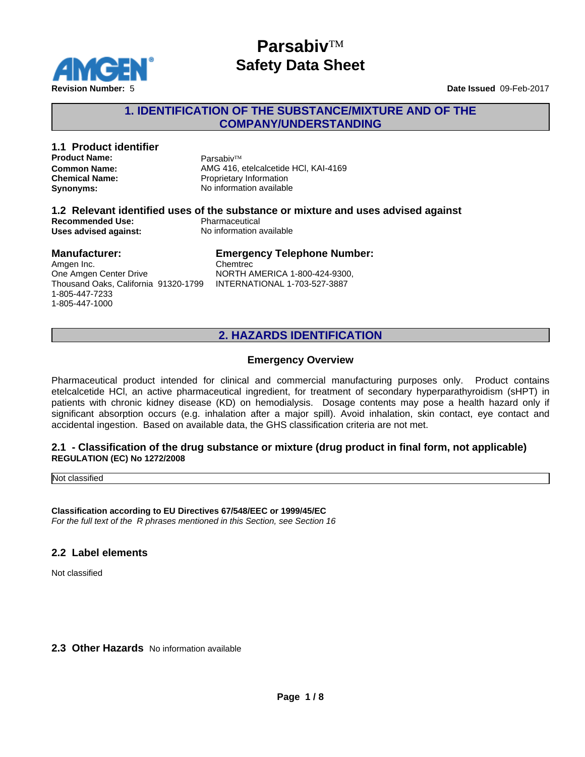

#### **1. IDENTIFICATION OF THE SUBSTANCE/MIXTURE AND OF THE COMPANY/UNDERSTANDING**

## **1.1 Product identifier Product Name:** Parsabiv™

**Common Name:** AMG 416, etelcalcetide HCl, KAI-4169 **Chemical Name:** Proprietary Information **Synonyms:** No information available

#### **1.2 Relevant identified uses of the substance or mixture and uses advised against Recommended Use:**<br> **Uses advised against:**<br> **No information available Uses advised against:**

#### **Manufacturer:**

Amgen Inc. One Amgen Center Drive Thousand Oaks, California 91320-1799 1-805-447-7233 1-805-447-1000

#### **Emergency Telephone Number:**

Chemtrec NORTH AMERICA 1-800-424-9300, INTERNATIONAL 1-703-527-3887

### **2. HAZARDS IDENTIFICATION**

#### **Emergency Overview**

Pharmaceutical product intended for clinical and commercial manufacturing purposes only. Product contains etelcalcetide HCl, an active pharmaceutical ingredient, for treatment of secondary hyperparathyroidism (sHPT) in patients with chronic kidney disease (KD) on hemodialysis. Dosage contents may pose a health hazard only if significant absorption occurs (e.g. inhalation after a major spill). Avoid inhalation, skin contact, eye contact and accidental ingestion. Based on available data, the GHS classification criteria are not met.

#### **2.1 - Classification of the drug substance or mixture (drug product in final form, not applicable) REGULATION (EC) No 1272/2008**

Not classified

**Classification according to EU Directives 67/548/EEC or 1999/45/EC** *For the full text of the R phrases mentioned in this Section, see Section 16*

#### **2.2 Label elements**

Not classified

**2.3 Other Hazards** No information available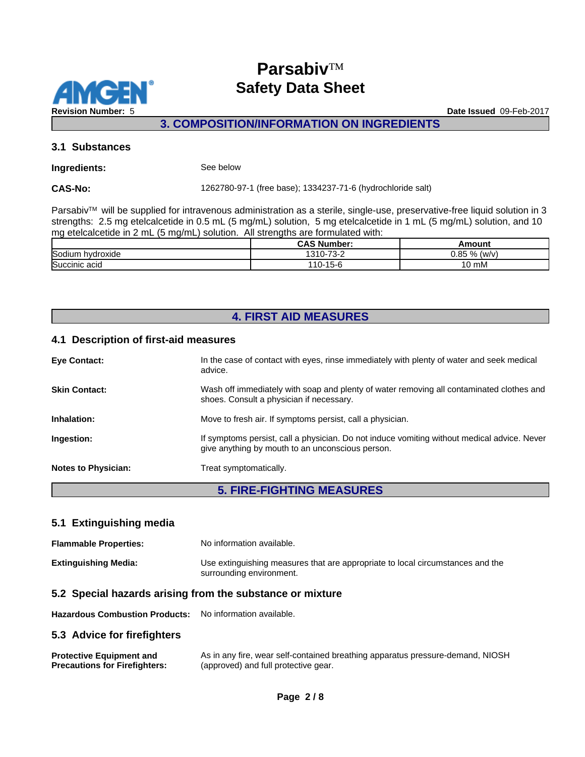

**3. COMPOSITION/INFORMATION ON INGREDIENTS**

#### **3.1 Substances**

#### **Ingredients:** See below

**CAS-No:** 1262780-97-1 (free base); 1334237-71-6 (hydrochloride salt)

Parsabiv™ will be supplied for intravenous administration as a sterile, single-use, preservative-free liquid solution in 3 strengths: 2.5 mg etelcalcetide in 0.5 mL (5 mg/mL) solution, 5 mg etelcalcetide in 1 mL (5 mg/mL) solution, and 10 mg etelcalcetide in 2 mL (5 mg/mL) solution. All strengths are formulated with:

|                     | .<br>Number <sup>.</sup><br>CA.                                | moun              |
|---------------------|----------------------------------------------------------------|-------------------|
| Sodium<br>hvdroxide | $\overline{\phantom{a}}$<br>240<br><u>`</u><br>ن دی<br>$\cdot$ | $0.85 \%$<br>(w/v |
| Succinic acid       | $1 - C$<br>$110 - 1$<br>15-6                                   | $\sim$<br>،0 mM   |

### **4. FIRST AID MEASURES**

#### **4.1 Description of first-aid measures**

| <b>Eye Contact:</b>        | In the case of contact with eyes, rinse immediately with plenty of water and seek medical<br>advice.                                            |  |
|----------------------------|-------------------------------------------------------------------------------------------------------------------------------------------------|--|
| <b>Skin Contact:</b>       | Wash off immediately with soap and plenty of water removing all contaminated clothes and<br>shoes. Consult a physician if necessary.            |  |
| Inhalation:                | Move to fresh air. If symptoms persist, call a physician.                                                                                       |  |
| Ingestion:                 | If symptoms persist, call a physician. Do not induce vomiting without medical advice. Never<br>give anything by mouth to an unconscious person. |  |
| <b>Notes to Physician:</b> | Treat symptomatically.                                                                                                                          |  |

**5. FIRE-FIGHTING MEASURES**

### **5.1 Extinguishing media**

**Flammable Properties:** No information available. **Extinguishing Media:** Use extinguishing measures that are appropriate to local circumstances and the surrounding environment.

#### **5.2 Special hazards arising from the substance or mixture**

**Hazardous Combustion Products:** No information available.

#### **5.3 Advice for firefighters**

**Protective Equipment and Precautions for Firefighters:** As in any fire, wear self-contained breathing apparatus pressure-demand, NIOSH (approved) and full protective gear.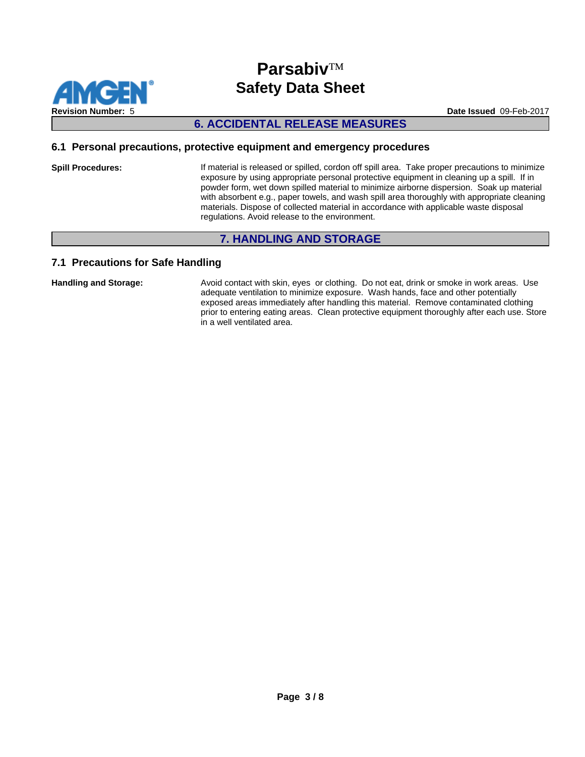

#### **6. ACCIDENTAL RELEASE MEASURES**

#### **6.1 Personal precautions, protective equipment and emergency procedures**

**Spill Procedures:** If material is released or spilled, cordon off spill area. Take proper precautions to minimize exposure by using appropriate personal protective equipment in cleaning up a spill. If in powder form, wet down spilled material to minimize airborne dispersion. Soak up material with absorbent e.g., paper towels, and wash spill area thoroughly with appropriate cleaning materials. Dispose of collected material in accordance with applicable waste disposal regulations. Avoid release to the environment.

### **7. HANDLING AND STORAGE**

#### **7.1 Precautions for Safe Handling**

**Handling and Storage:** Avoid contact with skin, eyes or clothing. Do not eat, drink or smoke in work areas. Use adequate ventilation to minimize exposure. Wash hands, face and other potentially exposed areas immediately after handling this material. Remove contaminated clothing prior to entering eating areas. Clean protective equipment thoroughly after each use. Store in a well ventilated area.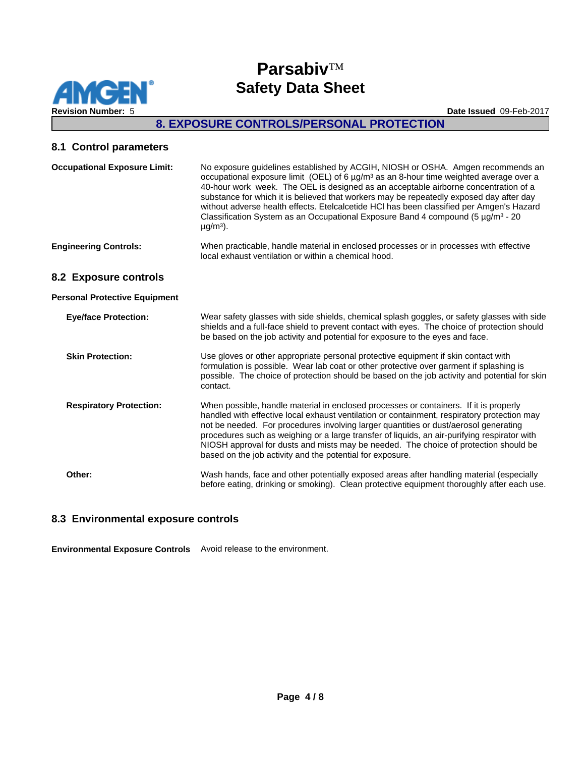

### **8. EXPOSURE CONTROLS/PERSONAL PROTECTION**

#### **8.1 Control parameters**

| <b>Occupational Exposure Limit:</b>  | No exposure guidelines established by ACGIH, NIOSH or OSHA. Amgen recommends an<br>occupational exposure limit (OEL) of 6 $\mu$ g/m <sup>3</sup> as an 8-hour time weighted average over a<br>40-hour work week. The OEL is designed as an acceptable airborne concentration of a<br>substance for which it is believed that workers may be repeatedly exposed day after day<br>without adverse health effects. Etelcalcetide HCI has been classified per Amgen's Hazard<br>Classification System as an Occupational Exposure Band 4 compound (5 $\mu$ g/m <sup>3</sup> - 20<br>$\mu$ g/m <sup>3</sup> ). |
|--------------------------------------|-----------------------------------------------------------------------------------------------------------------------------------------------------------------------------------------------------------------------------------------------------------------------------------------------------------------------------------------------------------------------------------------------------------------------------------------------------------------------------------------------------------------------------------------------------------------------------------------------------------|
| <b>Engineering Controls:</b>         | When practicable, handle material in enclosed processes or in processes with effective<br>local exhaust ventilation or within a chemical hood.                                                                                                                                                                                                                                                                                                                                                                                                                                                            |
| 8.2 Exposure controls                |                                                                                                                                                                                                                                                                                                                                                                                                                                                                                                                                                                                                           |
| <b>Personal Protective Equipment</b> |                                                                                                                                                                                                                                                                                                                                                                                                                                                                                                                                                                                                           |
| <b>Eye/face Protection:</b>          | Wear safety glasses with side shields, chemical splash goggles, or safety glasses with side<br>shields and a full-face shield to prevent contact with eyes. The choice of protection should<br>be based on the job activity and potential for exposure to the eyes and face.                                                                                                                                                                                                                                                                                                                              |
| <b>Skin Protection:</b>              | Use gloves or other appropriate personal protective equipment if skin contact with<br>formulation is possible. Wear lab coat or other protective over garment if splashing is<br>possible. The choice of protection should be based on the job activity and potential for skin<br>contact.                                                                                                                                                                                                                                                                                                                |
| <b>Respiratory Protection:</b>       | When possible, handle material in enclosed processes or containers. If it is properly<br>handled with effective local exhaust ventilation or containment, respiratory protection may<br>not be needed. For procedures involving larger quantities or dust/aerosol generating<br>procedures such as weighing or a large transfer of liquids, an air-purifying respirator with<br>NIOSH approval for dusts and mists may be needed. The choice of protection should be<br>based on the job activity and the potential for exposure.                                                                         |
| Other:                               | Wash hands, face and other potentially exposed areas after handling material (especially<br>before eating, drinking or smoking). Clean protective equipment thoroughly after each use.                                                                                                                                                                                                                                                                                                                                                                                                                    |

#### **8.3 Environmental exposure controls**

**Environmental Exposure Controls** Avoid release to the environment.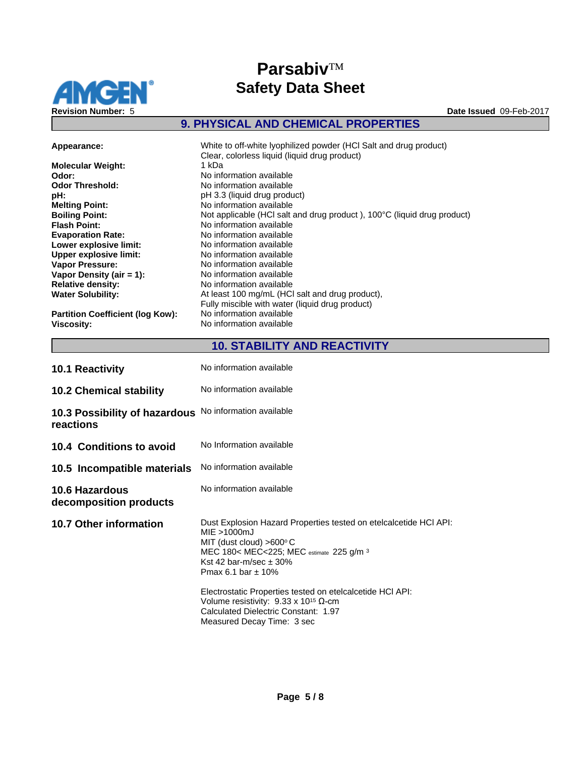

## $$ **Safety Data Sheet**

## **9. PHYSICAL AND CHEMICAL PROPERTIES**

| Appearance:                             | White to off-white lyophilized powder (HCI Salt and drug product)<br>Clear, colorless liquid (liquid drug product) |
|-----------------------------------------|--------------------------------------------------------------------------------------------------------------------|
| <b>Molecular Weight:</b>                | 1 kDa                                                                                                              |
| Odor:                                   | No information available                                                                                           |
| <b>Odor Threshold:</b>                  | No information available                                                                                           |
| pH:                                     | pH 3.3 (liquid drug product)                                                                                       |
| <b>Melting Point:</b>                   | No information available                                                                                           |
| <b>Boiling Point:</b>                   | Not applicable (HCI salt and drug product), 100°C (liquid drug product)                                            |
| <b>Flash Point:</b>                     | No information available                                                                                           |
| <b>Evaporation Rate:</b>                | No information available                                                                                           |
| Lower explosive limit:                  | No information available                                                                                           |
| <b>Upper explosive limit:</b>           | No information available                                                                                           |
| <b>Vapor Pressure:</b>                  | No information available                                                                                           |
| Vapor Density (air $= 1$ ):             | No information available                                                                                           |
| <b>Relative density:</b>                | No information available                                                                                           |
| <b>Water Solubility:</b>                | At least 100 mg/mL (HCI salt and drug product),                                                                    |
|                                         | Fully miscible with water (liquid drug product)                                                                    |
| <b>Partition Coefficient (log Kow):</b> | No information available                                                                                           |
| Viscosity:                              | No information available                                                                                           |

## **10. STABILITY AND REACTIVITY**

| <b>10.1 Reactivity</b>                          | No information available                                                                                                                                                                                                                                                                                                                                                                                                  |
|-------------------------------------------------|---------------------------------------------------------------------------------------------------------------------------------------------------------------------------------------------------------------------------------------------------------------------------------------------------------------------------------------------------------------------------------------------------------------------------|
| <b>10.2 Chemical stability</b>                  | No information available                                                                                                                                                                                                                                                                                                                                                                                                  |
| 10.3 Possibility of hazardous<br>reactions      | No information available                                                                                                                                                                                                                                                                                                                                                                                                  |
| 10.4 Conditions to avoid                        | No Information available                                                                                                                                                                                                                                                                                                                                                                                                  |
| 10.5 Incompatible materials                     | No information available                                                                                                                                                                                                                                                                                                                                                                                                  |
| <b>10.6 Hazardous</b><br>decomposition products | No information available                                                                                                                                                                                                                                                                                                                                                                                                  |
| <b>10.7 Other information</b>                   | Dust Explosion Hazard Properties tested on etelcalcetide HCI API:<br>$MIE > 1000 \text{mJ}$<br>MIT (dust cloud) $>600^{\circ}$ C<br>MEC 180< MEC<225; MEC estimate 225 g/m 3<br>Kst 42 bar-m/sec $\pm$ 30%<br>Pmax 6.1 bar $\pm$ 10%<br>Electrostatic Properties tested on etelcalcetide HCI API:<br>Volume resistivity: $9.33 \times 10^{15}$ Q-cm<br>Calculated Dielectric Constant: 1.97<br>Measured Decay Time: 3 sec |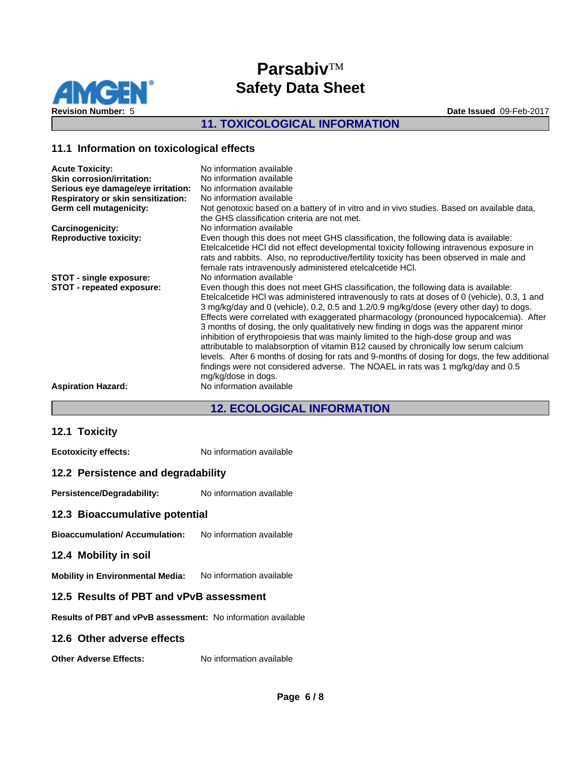

### **11. TOXICOLOGICAL INFORMATION**

#### **11.1 Information on toxicological effects**

| <b>Acute Toxicity:</b>                    | No information available                                                                      |
|-------------------------------------------|-----------------------------------------------------------------------------------------------|
| <b>Skin corrosion/irritation:</b>         | No information available                                                                      |
| Serious eye damage/eye irritation:        | No information available                                                                      |
| <b>Respiratory or skin sensitization:</b> | No information available                                                                      |
| Germ cell mutagenicity:                   | Not genotoxic based on a battery of in vitro and in vivo studies. Based on available data,    |
|                                           | the GHS classification criteria are not met.                                                  |
| Carcinogenicity:                          | No information available                                                                      |
| <b>Reproductive toxicity:</b>             | Even though this does not meet GHS classification, the following data is available:           |
|                                           | Etelcalcetide HCI did not effect developmental toxicity following intravenous exposure in     |
|                                           | rats and rabbits. Also, no reproductive/fertility toxicity has been observed in male and      |
|                                           | female rats intravenously administered etelcalcetide HCI.                                     |
| STOT - single exposure:                   | No information available                                                                      |
| STOT - repeated exposure:                 | Even though this does not meet GHS classification, the following data is available:           |
|                                           | Etelcalcetide HCI was administered intravenously to rats at doses of 0 (vehicle), 0.3, 1 and  |
|                                           | 3 mg/kg/day and 0 (vehicle), 0.2, 0.5 and 1.2/0.9 mg/kg/dose (every other day) to dogs.       |
|                                           | Effects were correlated with exaggerated pharmacology (pronounced hypocalcemia). After        |
|                                           | 3 months of dosing, the only qualitatively new finding in dogs was the apparent minor         |
|                                           | inhibition of erythropoiesis that was mainly limited to the high-dose group and was           |
|                                           | attributable to malabsorption of vitamin B12 caused by chronically low serum calcium          |
|                                           | levels. After 6 months of dosing for rats and 9-months of dosing for dogs, the few additional |
|                                           | findings were not considered adverse. The NOAEL in rats was 1 mg/kg/day and 0.5               |
|                                           | mg/kg/dose in dogs.                                                                           |
| <b>Aspiration Hazard:</b>                 | No information available                                                                      |
|                                           |                                                                                               |

### **12. ECOLOGICAL INFORMATION**

#### **12.1 Toxicity**

**Ecotoxicity effects:** No information available

#### **12.2 Persistence and degradability**

Persistence/Degradability: No information available

#### **12.3 Bioaccumulative potential**

**Bioaccumulation/ Accumulation:** No information available

#### **12.4 Mobility in soil**

**Mobility in Environmental Media:** No information available

#### **12.5 Results of PBT and vPvB assessment**

**Results of PBT and vPvB assessment:** No information available

#### **12.6 Other adverse effects**

**Other Adverse Effects:** No information available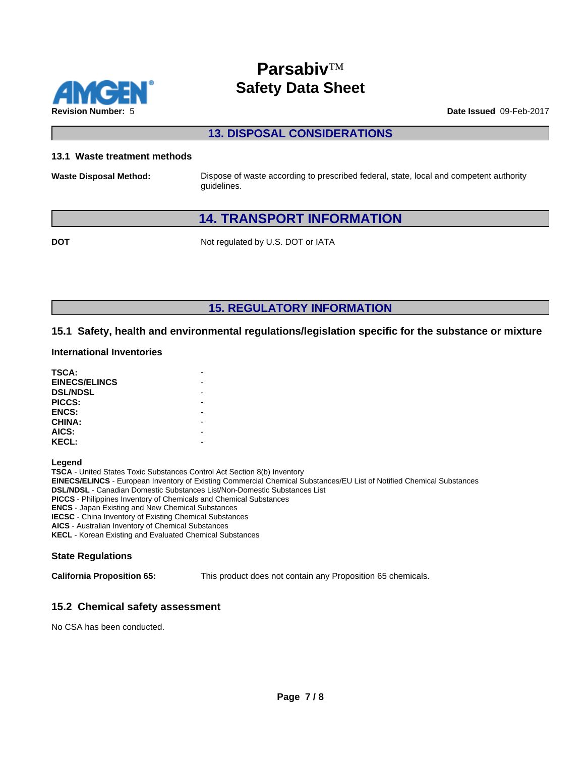

**13. DISPOSAL CONSIDERATIONS**

#### **13.1 Waste treatment methods**

**Waste Disposal Method:** Dispose of waste according to prescribed federal, state, local and competent authority guidelines.

### **14. TRANSPORT INFORMATION**

**DOT** Not regulated by U.S. DOT or IATA

**15. REGULATORY INFORMATION**

#### **15.1 Safety, health and environmental regulations/legislation specific for the substance or mixture**

#### **International Inventories**

| TSCA:                |  |
|----------------------|--|
| <b>EINECS/ELINCS</b> |  |
| <b>DSL/NDSL</b>      |  |
| PICCS:               |  |
| <b>ENCS:</b>         |  |
| <b>CHINA:</b>        |  |
| AICS:                |  |
| <b>KECL:</b>         |  |

**Legend**

**TSCA** - United States Toxic Substances Control Act Section 8(b) Inventory **EINECS/ELINCS** - European Inventory of Existing Commercial Chemical Substances/EU List of Notified Chemical Substances **DSL/NDSL** - Canadian Domestic Substances List/Non-Domestic Substances List **PICCS** - Philippines Inventory of Chemicals and Chemical Substances **ENCS** - Japan Existing and New Chemical Substances **IECSC** - China Inventory of Existing Chemical Substances

**AICS** - Australian Inventory of Chemical Substances

**KECL** - Korean Existing and Evaluated Chemical Substances

#### **State Regulations**

**California Proposition 65:** This product does not contain any Proposition 65 chemicals.

#### **15.2 Chemical safety assessment**

No CSA has been conducted.